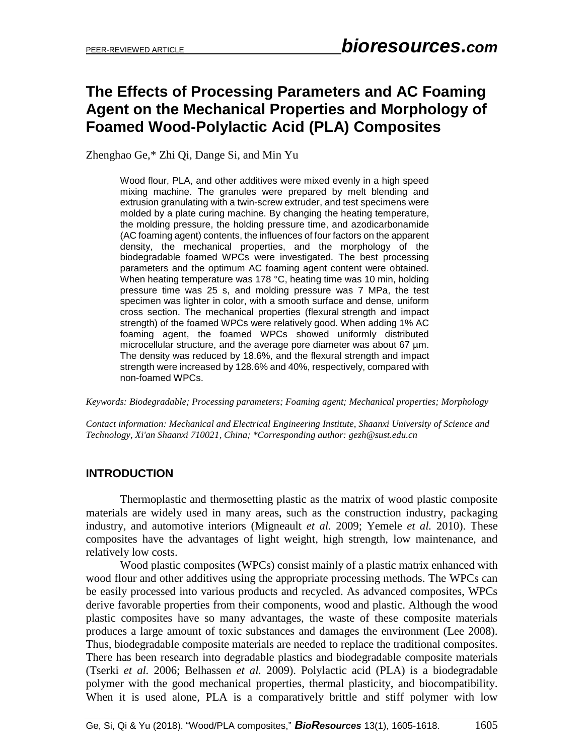# **The Effects of Processing Parameters and AC Foaming Agent on the Mechanical Properties and Morphology of Foamed Wood-Polylactic Acid (PLA) Composites**

Zhenghao Ge,\* Zhi Qi, Dange Si, and Min Yu

Wood flour, PLA, and other additives were mixed evenly in a high speed mixing machine. The granules were prepared by melt blending and extrusion granulating with a twin-screw extruder, and test specimens were molded by a plate curing machine. By changing the heating temperature, the molding pressure, the holding pressure time, and azodicarbonamide (AC foaming agent) contents, the influences of four factors on the apparent density, the mechanical properties, and the morphology of the biodegradable foamed WPCs were investigated. The best processing parameters and the optimum AC foaming agent content were obtained. When heating temperature was 178 °C, heating time was 10 min, holding pressure time was 25 s, and molding pressure was 7 MPa, the test specimen was lighter in color, with a smooth surface and dense, uniform cross section. The mechanical properties (flexural strength and impact strength) of the foamed WPCs were relatively good. When adding 1% AC foaming agent, the foamed WPCs showed uniformly distributed microcellular structure, and the average pore diameter was about 67 µm. The density was reduced by 18.6%, and the flexural strength and impact strength were increased by 128.6% and 40%, respectively, compared with non-foamed WPCs.

*Keywords: Biodegradable; Processing parameters; Foaming agent; Mechanical properties; Morphology*

*Contact information: Mechanical and Electrical Engineering Institute, Shaanxi University of Science and Technology, Xi'an Shaanxi 710021, China; \*Corresponding author[: gezh@sust.edu.cn](mailto:gezh@sust.edu.cn)*

## **INTRODUCTION**

Thermoplastic and thermosetting plastic as the matrix of wood plastic composite materials are widely used in many areas, such as the construction industry, packaging industry, and automotive interiors (Migneault *et al.* 2009; Yemele *et al.* 2010). These composites have the advantages of light weight, high strength, low maintenance, and relatively low costs.

Wood plastic composites (WPCs) consist mainly of a plastic matrix enhanced with wood flour and other additives using the appropriate processing methods. The WPCs can be easily processed into various products and recycled. As advanced composites, WPCs derive favorable properties from their components, wood and plastic. Although the wood plastic composites have so many advantages, the waste of these composite materials produces a large amount of toxic substances and damages the environment (Lee 2008). Thus, biodegradable composite materials are needed to replace the traditional composites. There has been research into degradable plastics and biodegradable composite materials (Tserki *et al.* 2006; Belhassen *et al.* 2009). Polylactic acid (PLA) is a biodegradable polymer with the good mechanical properties, thermal plasticity, and biocompatibility. When it is used alone, PLA is a comparatively brittle and stiff polymer with low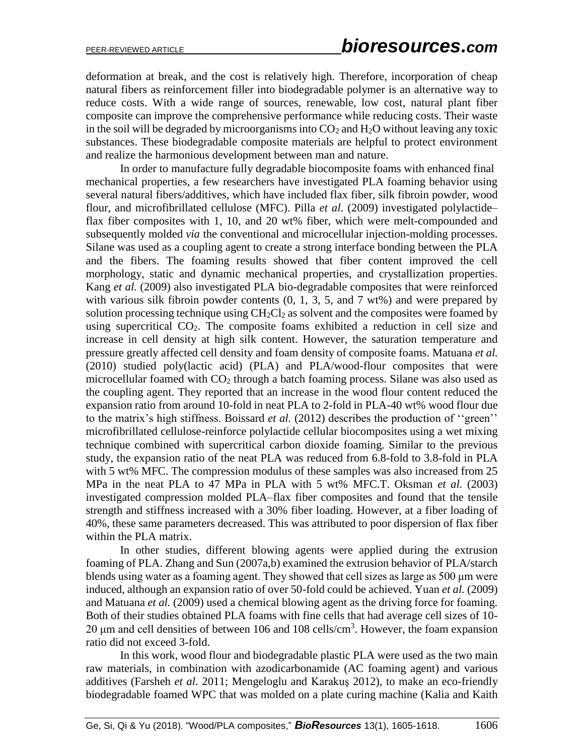deformation at break, and the cost is relatively high. Therefore, incorporation of cheap natural fibers as reinforcement filler into biodegradable polymer is an alternative way to reduce costs. With a wide range of sources, renewable, low cost, natural plant fiber composite can improve the comprehensive performance while reducing costs. Their waste in the soil will be degraded by microorganisms into  $CO<sub>2</sub>$  and  $H<sub>2</sub>O$  without leaving any toxic substances. These biodegradable composite materials are helpful to protect environment and realize the harmonious development between man and nature.

In order to manufacture fully degradable biocomposite foams with enhanced final mechanical properties, a few researchers have investigated PLA foaming behavior using several natural fibers/additives, which have included flax fiber, silk fibroin powder, wood flour, and microfibrillated cellulose (MFC). Pilla *et al*. (2009) investigated polylactide– flax fiber composites with 1, 10, and 20 wt% fiber, which were melt-compounded and subsequently molded *via* the conventional and microcellular injection-molding processes. Silane was used as a coupling agent to create a strong interface bonding between the PLA and the fibers. The foaming results showed that fiber content improved the cell morphology, static and dynamic mechanical properties, and crystallization properties. Kang *et al.* (2009) also investigated PLA bio-degradable composites that were reinforced with various silk fibroin powder contents  $(0, 1, 3, 5,$  and  $7 w t\%)$  and were prepared by solution processing technique using  $CH_2Cl_2$  as solvent and the composites were foamed by using supercritical  $CO<sub>2</sub>$ . The composite foams exhibited a reduction in cell size and increase in cell density at high silk content. However, the saturation temperature and pressure greatly affected cell density and foam density of composite foams. Matuana *et al.* (2010) studied poly(lactic acid) (PLA) and PLA/wood-flour composites that were microcellular foamed with  $CO<sub>2</sub>$  through a batch foaming process. Silane was also used as the coupling agent. They reported that an increase in the wood flour content reduced the expansion ratio from around 10-fold in neat PLA to 2-fold in PLA-40 wt% wood flour due to the matrix's high stiffness. Boissard *et al.* (2012) describes the production of ''green'' microfibrillated cellulose-reinforce polylactide cellular biocomposites using a wet mixing technique combined with supercritical carbon dioxide foaming. Similar to the previous study, the expansion ratio of the neat PLA was reduced from 6.8-fold to 3.8-fold in PLA with 5 wt% MFC. The compression modulus of these samples was also increased from 25 MPa in the neat PLA to 47 MPa in PLA with 5 wt% MFC.T. Oksman *et al.* (2003) investigated compression molded PLA–flax fiber composites and found that the tensile strength and stiffness increased with a 30% fiber loading. However, at a fiber loading of 40%, these same parameters decreased. This was attributed to poor dispersion of flax fiber within the PLA matrix.

In other studies, different blowing agents were applied during the extrusion foaming of PLA. Zhang and Sun (2007a,b) examined the extrusion behavior of PLA/starch blends using water as a foaming agent. They showed that cell sizes as large as 500 μm were induced, although an expansion ratio of over 50-fold could be achieved. Yuan *et al.* (2009) and Matuana *et al.* (2009) used a chemical blowing agent as the driving force for foaming. Both of their studies obtained PLA foams with fine cells that had average cell sizes of 10- 20  $\mu$ m and cell densities of between 106 and 108 cells/cm<sup>3</sup>. However, the foam expansion ratio did not exceed 3-fold.

In this work, wood flour and biodegradable plastic PLA were used as the two main raw materials, in combination with azodicarbonamide (AC foaming agent) and various additives (Farsheh *et al.* 2011; Mengeloglu and Karakuş 2012), to make an eco-friendly biodegradable foamed WPC that was molded on a plate curing machine (Kalia and Kaith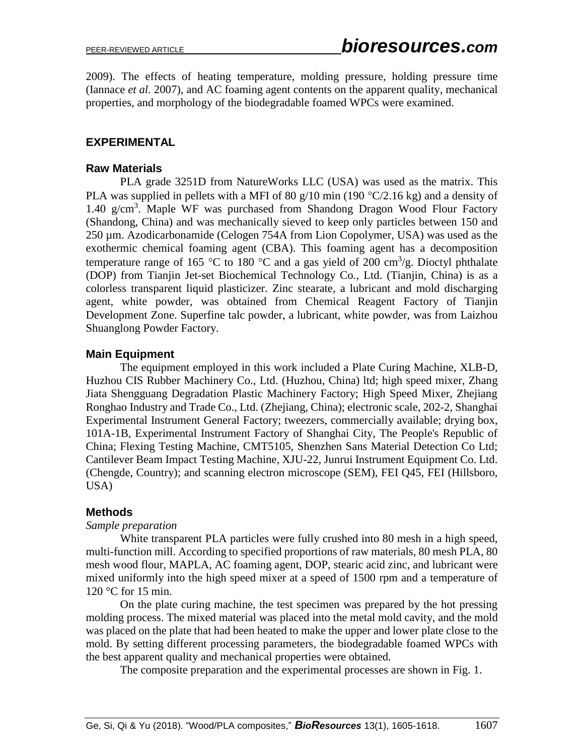2009). The effects of heating temperature, molding pressure, holding pressure time (Iannace *et al.* 2007), and AC foaming agent contents on the apparent quality, mechanical properties, and morphology of the biodegradable foamed WPCs were examined.

## **EXPERIMENTAL**

## **Raw Materials**

PLA grade 3251D from NatureWorks LLC (USA) was used as the matrix. This PLA was supplied in pellets with a MFI of 80 g/10 min (190  $\degree$ C/2.16 kg) and a density of 1.40 g/cm<sup>3</sup>. Maple WF was purchased from Shandong Dragon Wood Flour Factory (Shandong, China) and was mechanically sieved to keep only particles between 150 and 250 µm. Azodicarbonamide (Celogen 754A from Lion Copolymer, USA) was used as the exothermic chemical foaming agent (CBA). This foaming agent has a decomposition temperature range of 165 °C to 180 °C and a gas yield of 200 cm<sup>3</sup>/g. Dioctyl phthalate (DOP) from Tianjin Jet-set Biochemical Technology Co., Ltd. (Tianjin, China) is as a colorless transparent liquid plasticizer. Zinc stearate, a lubricant and mold discharging agent, white powder, was obtained from Chemical Reagent Factory of Tianjin Development Zone. Superfine talc powder, a lubricant, white powder, was from Laizhou Shuanglong Powder Factory.

## **Main Equipment**

The equipment employed in this work included a Plate Curing Machine, XLB-D, Huzhou CIS Rubber Machinery Co., Ltd. (Huzhou, China) ltd; high speed mixer, Zhang Jiata Shengguang Degradation Plastic Machinery Factory; High Speed Mixer, Zhejiang Ronghao Industry and Trade Co., Ltd. (Zhejiang, China); electronic scale, 202-2, Shanghai Experimental Instrument General Factory; tweezers, commercially available; drying box, 101A-1B, Experimental Instrument Factory of Shanghai City, The People's Republic of China; Flexing Testing Machine, CMT5105, Shenzhen Sans Material Detection Co Ltd; Cantilever Beam Impact Testing Machine, XJU-22, Junrui Instrument Equipment Co. Ltd. (Chengde, Country); and scanning electron microscope (SEM), FEI Q45, FEI (Hillsboro, USA)

## **Methods**

## *Sample preparation*

White transparent PLA particles were fully crushed into 80 mesh in a high speed, multi-function mill. According to specified proportions of raw materials, 80 mesh PLA, 80 mesh wood flour, MAPLA, AC foaming agent, DOP, stearic acid zinc, and lubricant were mixed uniformly into the high speed mixer at a speed of 1500 rpm and a temperature of 120 °C for 15 min.

On the plate curing machine, the test specimen was prepared by the hot pressing molding process. The mixed material was placed into the metal mold cavity, and the mold was placed on the plate that had been heated to make the upper and lower plate close to the mold. By setting different processing parameters, the biodegradable foamed WPCs with the best apparent quality and mechanical properties were obtained.

The composite preparation and the experimental processes are shown in Fig. 1.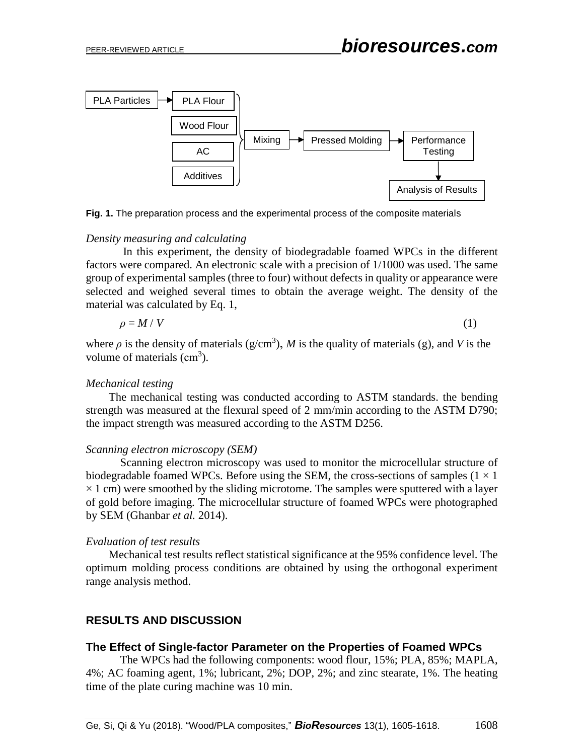

**Fig. 1.** The preparation process and the experimental process of the composite materials

#### *Density measuring and calculating*

In this experiment, the density of biodegradable foamed WPCs in the different factors were compared. An electronic scale with a precision of 1/1000 was used. The same group of experimental samples (three to four) without defects in quality or appearance were selected and weighed several times to obtain the average weight. The density of the material was calculated by Eq. 1,

$$
\rho = M / V \tag{1}
$$

where  $\rho$  is the density of materials ( $g/cm<sup>3</sup>$ ), *M* is the quality of materials (g), and *V* is the volume of materials  $(cm<sup>3</sup>)$ .

#### *Mechanical testing*

The mechanical testing was conducted according to ASTM standards. the bending strength was measured at the flexural speed of 2 mm/min according to the ASTM D790; the impact strength was measured according to the ASTM D256.

#### *Scanning electron microscopy (SEM)*

Scanning electron microscopy was used to monitor the microcellular structure of biodegradable foamed WPCs. Before using the SEM, the cross-sections of samples  $(1 \times 1)$  $\times$  1 cm) were smoothed by the sliding microtome. The samples were sputtered with a layer of gold before imaging. The microcellular structure of foamed WPCs were photographed by SEM (Ghanbar *et al.* 2014).

#### *Evaluation of test results*

Mechanical test results reflect statistical significance at the 95% confidence level. The optimum molding process conditions are obtained by using the orthogonal experiment range analysis method.

## **RESULTS AND DISCUSSION**

## **The Effect of Single-factor Parameter on the Properties of Foamed WPCs**

The WPCs had the following components: wood flour, 15%; PLA, 85%; MAPLA, 4%; AC foaming agent, 1%; lubricant, 2%; DOP, 2%; and zinc stearate, 1%. The heating time of the plate curing machine was 10 min.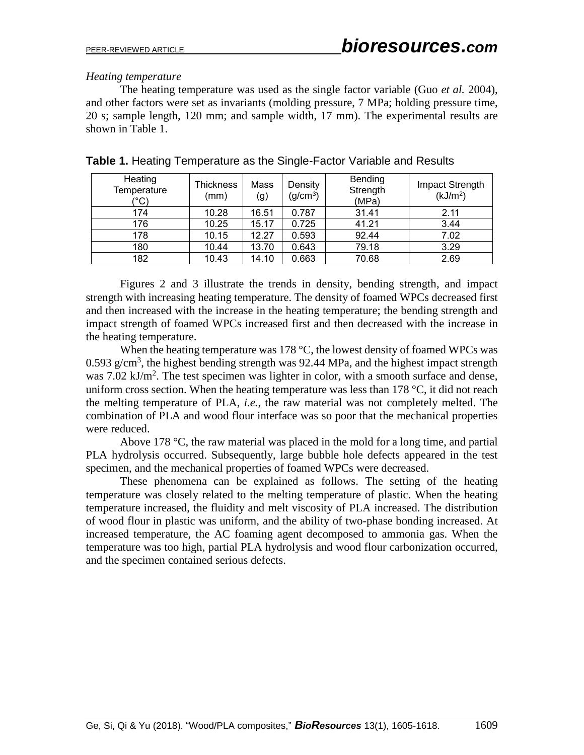### *Heating temperature*

The heating temperature was used as the single factor variable (Guo *et al.* 2004), and other factors were set as invariants (molding pressure, 7 MPa; holding pressure time, 20 s; sample length, 120 mm; and sample width, 17 mm). The experimental results are shown in Table 1.

| Heating<br>Temperature<br>(°C) | <b>Thickness</b><br>(mm) | Mass<br>(g) | Density<br>(g/cm <sup>3</sup> ) | <b>Bending</b><br>Strength<br>(MPa) | Impact Strength<br>(kJ/m <sup>2</sup> ) |
|--------------------------------|--------------------------|-------------|---------------------------------|-------------------------------------|-----------------------------------------|
| 174                            | 10.28                    | 16.51       | 0.787                           | 31.41                               | 2.11                                    |
| 176                            | 10.25                    | 15.17       | 0.725                           | 41.21                               | 3.44                                    |
| 178                            | 10.15                    | 12.27       | 0.593                           | 92.44                               | 7.02                                    |
| 180                            | 10.44                    | 13.70       | 0.643                           | 79.18                               | 3.29                                    |
| 182                            | 10.43                    | 14.10       | 0.663                           | 70.68                               | 2.69                                    |

**Table 1.** Heating Temperature as the Single-Factor Variable and Results

Figures 2 and 3 illustrate the trends in density, bending strength, and impact strength with increasing heating temperature. The density of foamed WPCs decreased first and then increased with the increase in the heating temperature; the bending strength and impact strength of foamed WPCs increased first and then decreased with the increase in the heating temperature.

When the heating temperature was 178  $^{\circ}$ C, the lowest density of foamed WPCs was 0.593 g/cm<sup>3</sup>, the highest bending strength was 92.44 MPa, and the highest impact strength was  $7.02 \text{ kJ/m}^2$ . The test specimen was lighter in color, with a smooth surface and dense, uniform cross section. When the heating temperature was less than 178  $\degree$ C, it did not reach the melting temperature of PLA, *i.e.*, the raw material was not completely melted. The combination of PLA and wood flour interface was so poor that the mechanical properties were reduced.

Above 178  $\degree$ C, the raw material was placed in the mold for a long time, and partial PLA hydrolysis occurred. Subsequently, large bubble hole defects appeared in the test specimen, and the mechanical properties of foamed WPCs were decreased.

These phenomena can be explained as follows. The setting of the heating temperature was closely related to the melting temperature of plastic. When the heating temperature increased, the fluidity and melt viscosity of PLA increased. The distribution of wood flour in plastic was uniform, and the ability of two-phase bonding increased. At increased temperature, the AC foaming agent decomposed to ammonia gas. When the temperature was too high, partial PLA hydrolysis and wood flour carbonization occurred, and the specimen contained serious defects.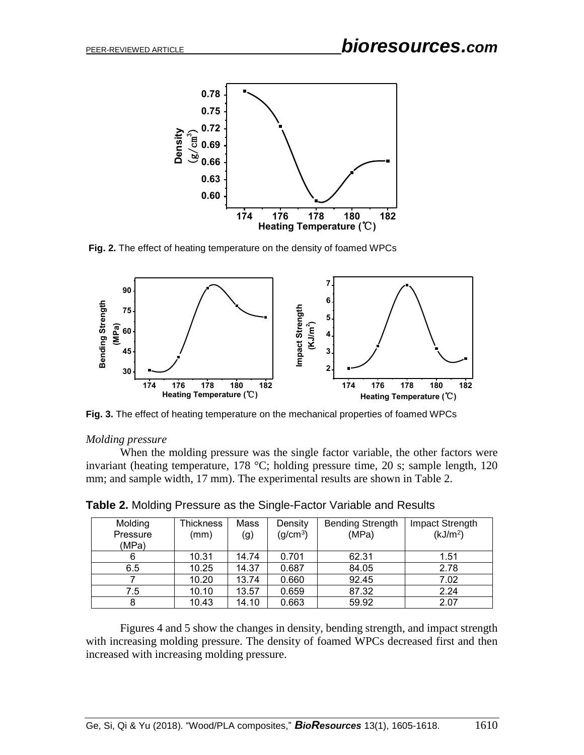

**Fig. 2.** The effect of heating temperature on the density of foamed WPCs



**Fig. 3.** The effect of heating temperature on the mechanical properties of foamed WPCs

#### *Molding pressure*

When the molding pressure was the single factor variable, the other factors were invariant (heating temperature, 178 °C; holding pressure time, 20 s; sample length, 120 mm; and sample width, 17 mm). The experimental results are shown in Table 2.

| Molding<br>Pressure | <b>Thickness</b><br>(mm) | Mass<br>(g) | Density<br>(g/cm <sup>3</sup> ) | <b>Bending Strength</b><br>(MPa) | Impact Strength<br>(kJ/m <sup>2</sup> ) |
|---------------------|--------------------------|-------------|---------------------------------|----------------------------------|-----------------------------------------|
| (MPa)               |                          |             |                                 |                                  |                                         |
| 6                   | 10.31                    | 14.74       | 0.701                           | 62.31                            | 1.51                                    |
| 6.5                 | 10.25                    | 14.37       | 0.687                           | 84.05                            | 2.78                                    |
|                     | 10.20                    | 13.74       | 0.660                           | 92.45                            | 7.02                                    |
| 7.5                 | 10.10                    | 13.57       | 0.659                           | 87.32                            | 2.24                                    |
| 8                   | 10.43                    | 14.10       | 0.663                           | 59.92                            | 2.07                                    |

**Table 2.** Molding Pressure as the Single-Factor Variable and Results

Figures 4 and 5 show the changes in density, bending strength, and impact strength with increasing molding pressure. The density of foamed WPCs decreased first and then increased with increasing molding pressure.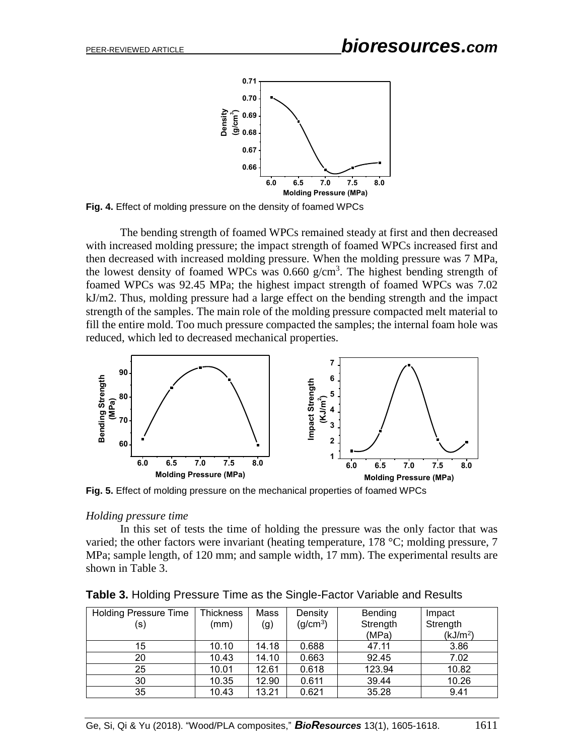

**Fig. 4.** Effect of molding pressure on the density of foamed WPCs

The bending strength of foamed WPCs remained steady at first and then decreased with increased molding pressure; the impact strength of foamed WPCs increased first and then decreased with increased molding pressure. When the molding pressure was 7 MPa, the lowest density of foamed WPCs was  $0.660$  g/cm<sup>3</sup>. The highest bending strength of foamed WPCs was 92.45 MPa; the highest impact strength of foamed WPCs was 7.02 kJ/m2. Thus, molding pressure had a large effect on the bending strength and the impact strength of the samples. The main role of the molding pressure compacted melt material to fill the entire mold. Too much pressure compacted the samples; the internal foam hole was reduced, which led to decreased mechanical properties.



**Fig. 5.** Effect of molding pressure on the mechanical properties of foamed WPCs

#### *Holding pressure time*

In this set of tests the time of holding the pressure was the only factor that was varied; the other factors were invariant (heating temperature, 178 °C; molding pressure, 7 MPa; sample length, of 120 mm; and sample width, 17 mm). The experimental results are shown in Table 3.

| <b>Holding Pressure Time</b> | <b>Thickness</b> | Mass  | Density              | Bending  | Impact               |
|------------------------------|------------------|-------|----------------------|----------|----------------------|
| (s)                          | (mm)             | (g)   | (g/cm <sup>3</sup> ) | Strength | Strength             |
|                              |                  |       |                      | (MPa)    | (kJ/m <sup>2</sup> ) |
| 15                           | 10.10            | 14.18 | 0.688                | 47.11    | 3.86                 |
| 20                           | 10.43            | 14.10 | 0.663                | 92.45    | 7.02                 |
| 25                           | 10.01            | 12.61 | 0.618                | 123.94   | 10.82                |
| 30                           | 10.35            | 12.90 | 0.611                | 39.44    | 10.26                |
| 35                           | 10.43            | 13.21 | 0.621                | 35.28    | 9.41                 |

**Table 3.** Holding Pressure Time as the Single-Factor Variable and Results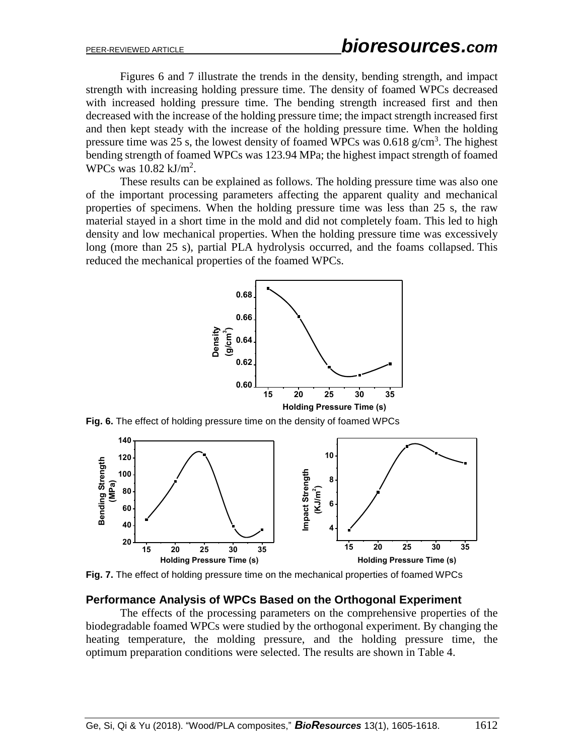Figures 6 and 7 illustrate the trends in the density, bending strength, and impact strength with increasing holding pressure time. The density of foamed WPCs decreased with increased holding pressure time. The bending strength increased first and then decreased with the increase of the holding pressure time; the impact strength increased first and then kept steady with the increase of the holding pressure time. When the holding pressure time was 25 s, the lowest density of foamed WPCs was  $0.618$  g/cm<sup>3</sup>. The highest bending strength of foamed WPCs was 123.94 MPa; the highest impact strength of foamed WPCs was  $10.82 \text{ kJ/m}^2$ .

These results can be explained as follows. The holding pressure time was also one of the important processing parameters affecting the apparent quality and mechanical properties of specimens. When the holding pressure time was less than 25 s, the raw material stayed in a short time in the mold and did not completely foam. This led to high density and low mechanical properties. When the holding pressure time was excessively long (more than 25 s), partial PLA hydrolysis occurred, and the foams collapsed. This reduced the mechanical properties of the foamed WPCs.



**Fig. 6.** The effect of holding pressure time on the density of foamed WPCs



**Fig. 7.** The effect of holding pressure time on the mechanical properties of foamed WPCs

#### **Performance Analysis of WPCs Based on the Orthogonal Experiment**

The effects of the processing parameters on the comprehensive properties of the biodegradable foamed WPCs were studied by the orthogonal experiment. By changing the heating temperature, the molding pressure, and the holding pressure time, the optimum preparation conditions were selected. The results are shown in Table 4.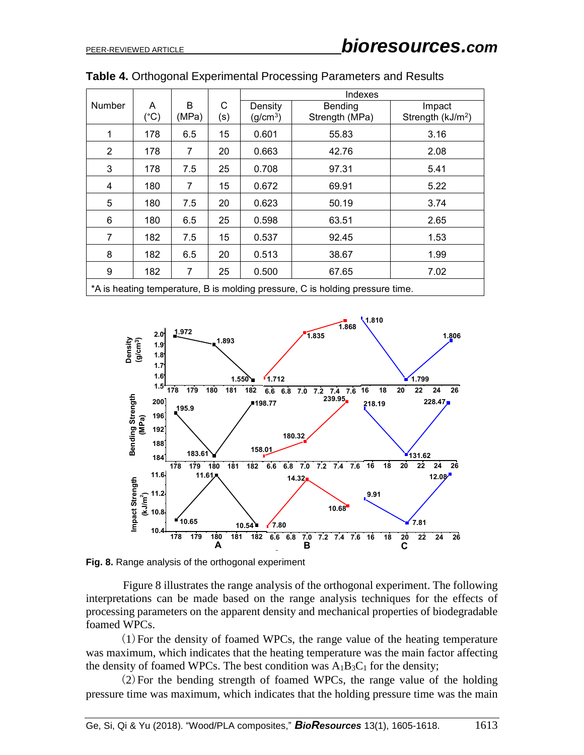|                                                                               |               |       |     | Indexes              |                |                               |  |
|-------------------------------------------------------------------------------|---------------|-------|-----|----------------------|----------------|-------------------------------|--|
| Number                                                                        | A             | B     | C   | Density              | Bending        | Impact                        |  |
|                                                                               | $(^{\circ}C)$ | (MPa) | (s) | (g/cm <sup>3</sup> ) | Strength (MPa) | Strength (kJ/m <sup>2</sup> ) |  |
| 1                                                                             | 178           | 6.5   | 15  | 0.601                | 55.83          | 3.16                          |  |
| 2                                                                             | 178           | 7     | 20  | 0.663                | 42.76          | 2.08                          |  |
| 3                                                                             | 178           | 7.5   | 25  | 0.708                | 97.31          | 5.41                          |  |
| 4                                                                             | 180           | 7     | 15  | 0.672                | 69.91          | 5.22                          |  |
| 5                                                                             | 180           | 7.5   | 20  | 0.623                | 50.19          | 3.74                          |  |
| 6                                                                             | 180           | 6.5   | 25  | 0.598                | 63.51          | 2.65                          |  |
| 7                                                                             | 182           | 7.5   | 15  | 0.537                | 92.45          | 1.53                          |  |
| 8                                                                             | 182           | 6.5   | 20  | 0.513                | 38.67          | 1.99                          |  |
| 9                                                                             | 182           | 7     | 25  | 0.500                | 67.65          | 7.02                          |  |
| *A is heating temperature, B is molding pressure, C is holding pressure time. |               |       |     |                      |                |                               |  |

| Table 4. Orthogonal Experimental Processing Parameters and Results |  |
|--------------------------------------------------------------------|--|
|--------------------------------------------------------------------|--|



**Fig. 8.** Range analysis of the orthogonal experiment

Figure 8 illustrates the range analysis of the orthogonal experiment. The following interpretations can be made based on the range analysis techniques for the effects of processing parameters on the apparent density and mechanical properties of biodegradable foamed WPCs.

(1)For the density of foamed WPCs, the range value of the heating temperature was maximum, which indicates that the heating temperature was the main factor affecting the density of foamed WPCs. The best condition was  $A_1B_3C_1$  for the density;

(2)For the bending strength of foamed WPCs, the range value of the holding pressure time was maximum, which indicates that the holding pressure time was the main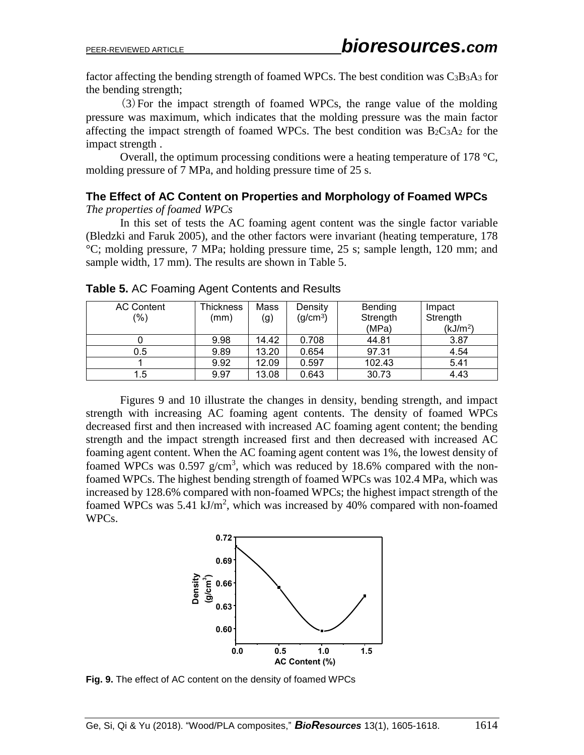factor affecting the bending strength of foamed WPCs. The best condition was  $C_3B_3A_3$  for the bending strength;

(3)For the impact strength of foamed WPCs, the range value of the molding pressure was maximum, which indicates that the molding pressure was the main factor affecting the impact strength of foamed WPCs. The best condition was  $B_2C_3A_2$  for the impact strength .

Overall, the optimum processing conditions were a heating temperature of 178 °C, molding pressure of 7 MPa, and holding pressure time of 25 s.

#### **The Effect of AC Content on Properties and Morphology of Foamed WPCs** *The properties of foamed WPCs*

In this set of tests the AC foaming agent content was the single factor variable (Bledzki and Faruk 2005), and the other factors were invariant (heating temperature, 178 °C; molding pressure, 7 MPa; holding pressure time, 25 s; sample length, 120 mm; and sample width, 17 mm). The results are shown in Table 5.

| <b>AC Content</b> | Thickness | Mass  | Density              | Bending  | Impact               |
|-------------------|-----------|-------|----------------------|----------|----------------------|
| $(\% )$           | (mm)      | (g)   | (g/cm <sup>3</sup> ) | Strength | Strength             |
|                   |           |       |                      | (MPa)    | (kJ/m <sup>2</sup> ) |
|                   | 9.98      | 14.42 | 0.708                | 44.81    | 3.87                 |
| 0.5               | 9.89      | 13.20 | 0.654                | 97.31    | 4.54                 |
|                   | 9.92      | 12.09 | 0.597                | 102.43   | 5.41                 |
| 1.5               | 9.97      | 13.08 | 0.643                | 30.73    | 4.43                 |

**Table 5.** AC Foaming Agent Contents and Results

Figures 9 and 10 illustrate the changes in density, bending strength, and impact strength with increasing AC foaming agent contents. The density of foamed WPCs decreased first and then increased with increased AC foaming agent content; the bending strength and the impact strength increased first and then decreased with increased AC foaming agent content. When the AC foaming agent content was 1%, the lowest density of foamed WPCs was  $0.597$  g/cm<sup>3</sup>, which was reduced by 18.6% compared with the nonfoamed WPCs. The highest bending strength of foamed WPCs was 102.4 MPa, which was increased by 128.6% compared with non-foamed WPCs; the highest impact strength of the foamed WPCs was  $5.41 \text{ kJ/m}^2$ , which was increased by 40% compared with non-foamed WPCs.

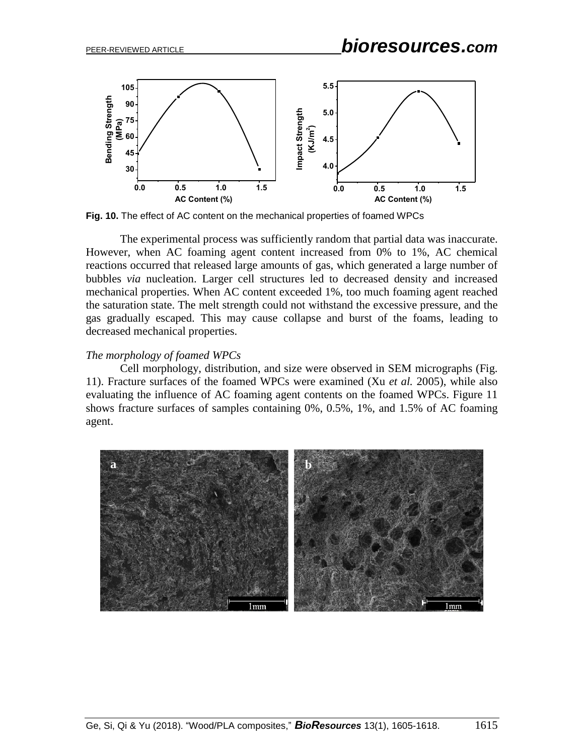

**Fig. 10.** The effect of AC content on the mechanical properties of foamed WPCs

The experimental process was sufficiently random that partial data was inaccurate. However, when AC foaming agent content increased from 0% to 1%, AC chemical reactions occurred that released large amounts of gas, which generated a large number of bubbles *via* nucleation. Larger cell structures led to decreased density and increased mechanical properties. When AC content exceeded 1%, too much foaming agent reached the saturation state. The melt strength could not withstand the excessive pressure, and the gas gradually escaped. This may cause collapse and burst of the foams, leading to decreased mechanical properties.

### *The morphology of foamed WPCs*

Cell morphology, distribution, and size were observed in SEM micrographs (Fig. 11). Fracture surfaces of the foamed WPCs were examined (Xu *et al.* 2005), while also evaluating the influence of AC foaming agent contents on the foamed WPCs. Figure 11 shows fracture surfaces of samples containing 0%, 0.5%, 1%, and 1.5% of AC foaming agent.

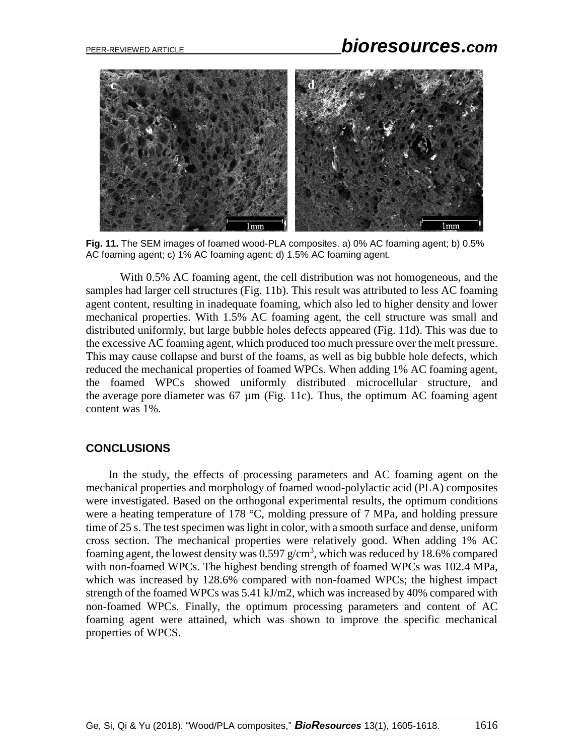## PEER-REVIEWED ARTICLE *bioresources.com*



**Fig. 11.** The SEM images of foamed wood-PLA composites. a) 0% AC foaming agent; b) 0.5% AC foaming agent; c) 1% AC foaming agent; d) 1.5% AC foaming agent.

With 0.5% AC foaming agent, the cell distribution was not homogeneous, and the samples had larger cell structures (Fig. 11b). This result was attributed to less AC foaming agent content, resulting in inadequate foaming, which also led to higher density and lower mechanical properties. With 1.5% AC foaming agent, the cell structure was small and distributed uniformly, but large bubble holes defects appeared (Fig. 11d). This was due to the excessive AC foaming agent, which produced too much pressure over the melt pressure. This may cause collapse and burst of the foams, as well as big bubble hole defects, which reduced the mechanical properties of foamed WPCs. When adding 1% AC foaming agent, the foamed WPCs showed uniformly distributed microcellular structure, and the average pore diameter was  $67 \mu m$  (Fig. 11c). Thus, the optimum AC foaming agent content was 1%.

#### **CONCLUSIONS**

In the study, the effects of processing parameters and AC foaming agent on the mechanical properties and morphology of foamed wood-polylactic acid (PLA) composites were investigated. Based on the orthogonal experimental results, the optimum conditions were a heating temperature of 178 °C, molding pressure of 7 MPa, and holding pressure time of 25 s. The test specimen was light in color, with a smooth surface and dense, uniform cross section. The mechanical properties were relatively good. When adding 1% AC foaming agent, the lowest density was  $0.597$  g/cm<sup>3</sup>, which was reduced by 18.6% compared with non-foamed WPCs. The highest bending strength of foamed WPCs was 102.4 MPa, which was increased by 128.6% compared with non-foamed WPCs; the highest impact strength of the foamed WPCs was 5.41 kJ/m2, which was increased by 40% compared with non-foamed WPCs. Finally, the optimum processing parameters and content of AC foaming agent were attained, which was shown to improve the specific mechanical properties of WPCS.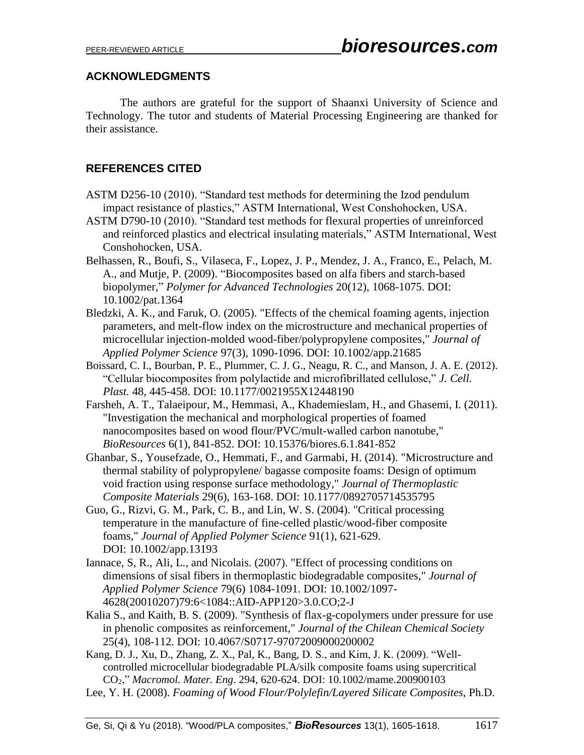## **ACKNOWLEDGMENTS**

The authors are grateful for the support of Shaanxi University of Science and Technology. The tutor and students of Material Processing Engineering are thanked for their assistance.

## **REFERENCES CITED**

- ASTM D256-10 (2010). "Standard test methods for determining the Izod pendulum impact resistance of plastics," ASTM International, West Conshohocken, USA.
- ASTM D790-10 (2010). "Standard test methods for flexural properties of unreinforced and reinforced plastics and electrical insulating materials," ASTM International, West Conshohocken, USA.
- Belhassen, R., Boufi, S., Vilaseca, F., Lopez, J. P., Mendez, J. A., Franco, E., Pelach, M. A., and Mutje, P. (2009). "Biocomposites based on alfa fibers and starch-based biopolymer," *Polymer for Advanced Technologies* 20(12), 1068-1075. DOI: 10.1002/pat.1364
- Bledzki, A. K., and Faruk, O. (2005). "Effects of the chemical foaming agents, injection parameters, and melt-flow index on the microstructure and mechanical properties of microcellular injection-molded wood-fiber/polypropylene composites," *Journal of Applied Polymer Science* 97(3), 1090-1096. DOI: 10.1002/app.21685
- Boissard, C. I., Bourban, P. E., Plummer, C. J. G., Neagu, R. C., and Manson, J. A. E. (2012). "Cellular biocomposites from polylactide and microfibrillated cellulose," *J. Cell. Plast.* 48, 445-458. DOI: 10.1177/0021955X12448190
- Farsheh, A. T., Talaeipour, M., Hemmasi, A., Khademieslam, H., and Ghasemi, I. (2011). "Investigation the mechanical and morphological properties of foamed nanocomposites based on wood flour/PVC/mult-walled carbon nanotube," *BioResources* 6(1), 841-852. DOI: 10.15376/biores.6.1.841-852
- Ghanbar, S., Yousefzade, O., Hemmati, F., and Garmabi, H. (2014). "Microstructure and thermal stability of polypropylene/ bagasse composite foams: Design of optimum void fraction using response surface methodology," *Journal of Thermoplastic Composite Materials* 29(6), 163-168. DOI: 10.1177/0892705714535795
- Guo, G., Rizvi, G. M., Park, C. B., and Lin, W. S. (2004). "Critical processing temperature in the manufacture of fine-celled plastic/wood-fiber composite foams," *Journal of Applied Polymer Science* 91(1), 621-629. DOI: 10.1002/app.13193
- Iannace, S, R., Ali, L., and Nicolais. (2007). "Effect of processing conditions on dimensions of sisal fibers in thermoplastic biodegradable composites," *Journal of Applied Polymer Science* 79(6) 1084-1091. DOI: 10.1002/1097- 4628(20010207)79:6<1084::AID-APP120>3.0.CO;2-J
- Kalia S., and Kaith, B. S. (2009). "Synthesis of flax-g-copolymers under pressure for use in phenolic composites as reinforcement," *Journal of the Chilean Chemical Society*  25(4), 108-112. DOI: 10.4067/S0717-97072009000200002

Kang, D. J., Xu, D., Zhang, Z. X., Pal, K., Bang, D. S., and Kim, J. K. (2009). "Wellcontrolled microcellular biodegradable PLA/silk composite foams using supercritical CO2," *Macromol. Mater. Eng*. 294, 620-624. DOI: 10.1002/mame.200900103

Lee, Y. H. (2008). *Foaming of Wood Flour/Polylefin/Layered Silicate Composites*, Ph.D.